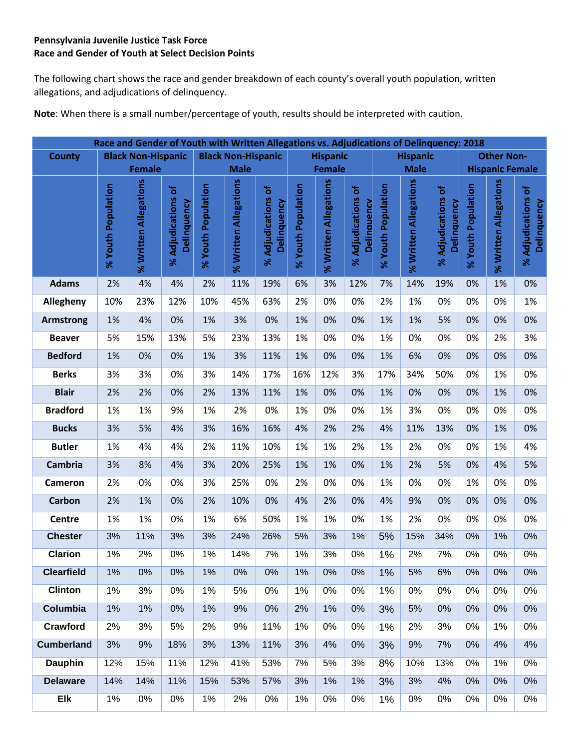#### **Pennsylvania Juvenile Justice Task Force Race and Gender of Youth at Select Decision Points**

The following chart shows the race and gender breakdown of each county's overall youth population, written allegations, and adjudications of delinquency.

**Note**: When there is a small number/percentage of youth, results should be interpreted with caution.

|                   |                    | Race and Gender of Youth with Written Allegations vs. Adjudications of Delinquency: 2018 |                                   |                    |                                              |                                   |                    |                       |                                   |                    |                       |                                   |                        |                       |                                   |  |
|-------------------|--------------------|------------------------------------------------------------------------------------------|-----------------------------------|--------------------|----------------------------------------------|-----------------------------------|--------------------|-----------------------|-----------------------------------|--------------------|-----------------------|-----------------------------------|------------------------|-----------------------|-----------------------------------|--|
| <b>County</b>     |                    | <b>Black Non-Hispanic</b>                                                                |                                   |                    | <b>Black Non-Hispanic</b><br><b>Hispanic</b> |                                   |                    |                       |                                   |                    | <b>Hispanic</b>       |                                   | <b>Other Non-</b>      |                       |                                   |  |
|                   |                    | <b>Female</b>                                                                            |                                   | <b>Male</b>        |                                              |                                   |                    | <b>Female</b>         |                                   |                    | <b>Male</b>           |                                   | <b>Hispanic Female</b> |                       |                                   |  |
|                   | % Youth Population | % Written Allegations                                                                    | % Adjudications of<br>Delinquency | % Youth Population | % Written Allegations                        | % Adjudications of<br>Delinquency | % Youth Population | % Written Allegations | % Adjudications of<br>Delinguency | % Youth Population | % Written Allegations | % Adjudications of<br>Delinquency | % Youth Population     | % Written Allegations | % Adjudications of<br>Delinquency |  |
| <b>Adams</b>      | 2%                 | 4%                                                                                       | 4%                                | 2%                 | 11%                                          | 19%                               | 6%                 | 3%                    | 12%                               | 7%                 | 14%                   | 19%                               | 0%                     | 1%                    | 0%                                |  |
| Allegheny         | 10%                | 23%                                                                                      | 12%                               | 10%                | 45%                                          | 63%                               | 2%                 | 0%                    | 0%                                | 2%                 | 1%                    | 0%                                | 0%                     | 0%                    | 1%                                |  |
| <b>Armstrong</b>  | 1%                 | 4%                                                                                       | 0%                                | 1%                 | 3%                                           | 0%                                | 1%                 | 0%                    | 0%                                | 1%                 | 1%                    | 5%                                | 0%                     | 0%                    | 0%                                |  |
| <b>Beaver</b>     | 5%                 | 15%                                                                                      | 13%                               | 5%                 | 23%                                          | 13%                               | 1%                 | 0%                    | 0%                                | 1%                 | 0%                    | 0%                                | 0%                     | 2%                    | 3%                                |  |
| <b>Bedford</b>    | 1%                 | 0%                                                                                       | 0%                                | 1%                 | 3%                                           | 11%                               | 1%                 | 0%                    | 0%                                | 1%                 | 6%                    | 0%                                | 0%                     | 0%                    | 0%                                |  |
| <b>Berks</b>      | 3%                 | 3%                                                                                       | 0%                                | 3%                 | 14%                                          | 17%                               | 16%                | 12%                   | 3%                                | 17%                | 34%                   | 50%                               | 0%                     | 1%                    | 0%                                |  |
| <b>Blair</b>      | 2%                 | 2%                                                                                       | 0%                                | 2%                 | 13%                                          | 11%                               | 1%                 | 0%                    | 0%                                | 1%                 | 0%                    | 0%                                | 0%                     | 1%                    | 0%                                |  |
| <b>Bradford</b>   | 1%                 | 1%                                                                                       | 9%                                | 1%                 | 2%                                           | 0%                                | 1%                 | 0%                    | 0%                                | 1%                 | 3%                    | 0%                                | 0%                     | 0%                    | 0%                                |  |
| <b>Bucks</b>      | 3%                 | 5%                                                                                       | 4%                                | 3%                 | 16%                                          | 16%                               | 4%                 | 2%                    | 2%                                | 4%                 | 11%                   | 13%                               | 0%                     | 1%                    | 0%                                |  |
| <b>Butler</b>     | 1%                 | 4%                                                                                       | 4%                                | 2%                 | 11%                                          | 10%                               | 1%                 | 1%                    | 2%                                | 1%                 | 2%                    | 0%                                | 0%                     | 1%                    | 4%                                |  |
| Cambria           | 3%                 | 8%                                                                                       | 4%                                | 3%                 | 20%                                          | 25%                               | 1%                 | 1%                    | 0%                                | 1%                 | 2%                    | 5%                                | 0%                     | 4%                    | 5%                                |  |
| <b>Cameron</b>    | 2%                 | 0%                                                                                       | 0%                                | 3%                 | 25%                                          | 0%                                | 2%                 | 0%                    | 0%                                | 1%                 | 0%                    | 0%                                | 1%                     | 0%                    | 0%                                |  |
| <b>Carbon</b>     | 2%                 | 1%                                                                                       | 0%                                | 2%                 | 10%                                          | 0%                                | 4%                 | 2%                    | 0%                                | 4%                 | 9%                    | 0%                                | 0%                     | 0%                    | 0%                                |  |
| Centre            | 1%                 | 1%                                                                                       | 0%                                | 1%                 | 6%                                           | 50%                               | 1%                 | 1%                    | 0%                                | 1%                 | 2%                    | 0%                                | 0%                     | 0%                    | 0%                                |  |
| <b>Chester</b>    | 3%                 | 11%                                                                                      | 3%                                | 3%                 | 24%                                          | 26%                               | 5%                 | 3%                    | 1%                                | 5%                 | 15%                   | 34%                               | 0%                     | 1%                    | 0%                                |  |
| <b>Clarion</b>    | 1%                 | 2%                                                                                       | $0\%$                             | 1%                 | 14%                                          | 7%                                | 1%                 | 3%                    | 0%                                | 1%                 | 2%                    | 7%                                | 0%                     | 0%                    | $0\%$                             |  |
| <b>Clearfield</b> | 1%                 | 0%                                                                                       | 0%                                | 1%                 | 0%                                           | 0%                                | 1%                 | 0%                    | 0%                                | 1%                 | 5%                    | 6%                                | 0%                     | 0%                    | 0%                                |  |
| <b>Clinton</b>    | 1%                 | 3%                                                                                       | 0%                                | 1%                 | 5%                                           | 0%                                | 1%                 | 0%                    | 0%                                | 1%                 | 0%                    | 0%                                | 0%                     | 0%                    | 0%                                |  |
| <b>Columbia</b>   | 1%                 | 1%                                                                                       | 0%                                | 1%                 | 9%                                           | 0%                                | 2%                 | 1%                    | 0%                                | 3%                 | 5%                    | 0%                                | 0%                     | 0%                    | 0%                                |  |
| Crawford          | 2%                 | 3%                                                                                       | 5%                                | 2%                 | 9%                                           | 11%                               | 1%                 | 0%                    | 0%                                | 1%                 | 2%                    | 3%                                | 0%                     | 1%                    | 0%                                |  |
| <b>Cumberland</b> | 3%                 | 9%                                                                                       | 18%                               | 3%                 | 13%                                          | 11%                               | 3%                 | 4%                    | 0%                                | 3%                 | 9%                    | 7%                                | 0%                     | 4%                    | 4%                                |  |
| <b>Dauphin</b>    | 12%                | 15%                                                                                      | 11%                               | 12%                | 41%                                          | 53%                               | 7%                 | 5%                    | 3%                                | 8%                 | 10%                   | 13%                               | 0%                     | 1%                    | 0%                                |  |
| <b>Delaware</b>   | 14%                | 14%                                                                                      | 11%                               | 15%                | 53%                                          | 57%                               | 3%                 | 1%                    | 1%                                | 3%                 | 3%                    | 4%                                | 0%                     | 0%                    | 0%                                |  |
| Elk               | 1%                 | $0\%$                                                                                    | $0\%$                             | 1%                 | 2%                                           | $0\%$                             | 1%                 | 0%                    | $0\%$                             | 1%                 | 0%                    | 0%                                | 0%                     | 0%                    | 0%                                |  |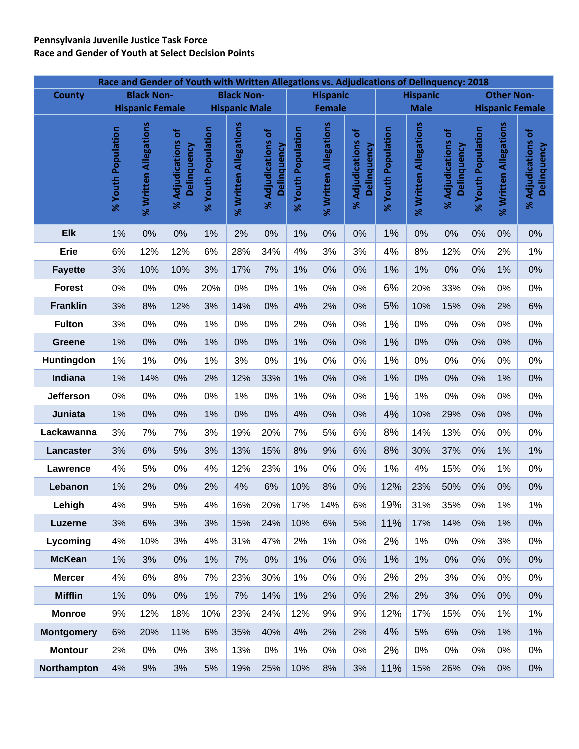# **Pennsylvania Juvenile Justice Task Force**

**Race and Gender of Youth at Select Decision Points**

|                   |                    |                        |                                                      |                    |                       |                                               |                    |                       | Race and Gender of Youth with Written Allegations vs. Adjudications of Delinquency: 2018 |                    |                       |                                                      |                    |                                             |                                     |  |  |
|-------------------|--------------------|------------------------|------------------------------------------------------|--------------------|-----------------------|-----------------------------------------------|--------------------|-----------------------|------------------------------------------------------------------------------------------|--------------------|-----------------------|------------------------------------------------------|--------------------|---------------------------------------------|-------------------------------------|--|--|
| <b>County</b>     |                    | <b>Black Non-</b>      |                                                      |                    | <b>Black Non-</b>     |                                               |                    | <b>Hispanic</b>       |                                                                                          |                    | <b>Hispanic</b>       |                                                      |                    | <b>Other Non-</b><br><b>Hispanic Female</b> |                                     |  |  |
|                   |                    | <b>Hispanic Female</b> |                                                      |                    | <b>Hispanic Male</b>  |                                               |                    | <b>Female</b>         |                                                                                          |                    | <b>Male</b>           |                                                      |                    |                                             |                                     |  |  |
|                   | % Youth Population | % Written Allegations  | ৳<br><b>Adjudications</b><br>Delinquency<br>$\aleph$ | % Youth Population | % Written Allegations | ৳<br><b>Adjudications</b><br>Delinquency<br>৯ | % Youth Population | % Written Allegations | ৳<br><b>Adjudications</b><br>Delinquency<br>$\aleph$                                     | % Youth Population | % Written Allegations | ৳<br><b>Adjudications</b><br>Delinquency<br>$\aleph$ | % Youth Population | % Written Allegations                       | ৳<br>% Adjudications<br>Delinquency |  |  |
| <b>Elk</b>        | 1%                 | 0%                     | 0%                                                   | 1%                 | 2%                    | 0%                                            | 1%                 | 0%                    | 0%                                                                                       | 1%                 | 0%                    | 0%                                                   | 0%                 | 0%                                          | 0%                                  |  |  |
| <b>Erie</b>       | 6%                 | 12%                    | 12%                                                  | 6%                 | 28%                   | 34%                                           | 4%                 | 3%                    | 3%                                                                                       | 4%                 | 8%                    | 12%                                                  | 0%                 | 2%                                          | 1%                                  |  |  |
| <b>Fayette</b>    | 3%                 | 10%                    | 10%                                                  | 3%                 | 17%                   | 7%                                            | 1%                 | 0%                    | 0%                                                                                       | 1%                 | 1%                    | 0%                                                   | 0%                 | 1%                                          | 0%                                  |  |  |
| <b>Forest</b>     | 0%                 | 0%                     | 0%                                                   | 20%                | 0%                    | 0%                                            | 1%                 | 0%                    | 0%                                                                                       | 6%                 | 20%                   | 33%                                                  | 0%                 | 0%                                          | 0%                                  |  |  |
| <b>Franklin</b>   | 3%                 | 8%                     | 12%                                                  | 3%                 | 14%                   | 0%                                            | 4%                 | 2%                    | 0%                                                                                       | 5%                 | 10%                   | 15%                                                  | 0%                 | 2%                                          | 6%                                  |  |  |
| <b>Fulton</b>     | 3%                 | 0%                     | 0%                                                   | 1%                 | 0%                    | 0%                                            | 2%                 | 0%                    | 0%                                                                                       | 1%                 | 0%                    | 0%                                                   | 0%                 | 0%                                          | $0\%$                               |  |  |
| <b>Greene</b>     | 1%                 | 0%                     | 0%                                                   | 1%                 | 0%                    | 0%                                            | 1%                 | 0%                    | 0%                                                                                       | 1%                 | 0%                    | 0%                                                   | 0%                 | 0%                                          | 0%                                  |  |  |
| Huntingdon        | 1%                 | 1%                     | 0%                                                   | 1%                 | 3%                    | 0%                                            | 1%                 | 0%                    | 0%                                                                                       | 1%                 | 0%                    | 0%                                                   | 0%                 | 0%                                          | 0%                                  |  |  |
| Indiana           | 1%                 | 14%                    | 0%                                                   | 2%                 | 12%                   | 33%                                           | 1%                 | 0%                    | 0%                                                                                       | 1%                 | 0%                    | 0%                                                   | 0%                 | 1%                                          | 0%                                  |  |  |
| Jefferson         | 0%                 | 0%                     | 0%                                                   | 0%                 | 1%                    | 0%                                            | 1%                 | 0%                    | 0%                                                                                       | 1%                 | 1%                    | 0%                                                   | 0%                 | 0%                                          | 0%                                  |  |  |
| Juniata           | 1%                 | 0%                     | 0%                                                   | 1%                 | 0%                    | 0%                                            | 4%                 | 0%                    | 0%                                                                                       | 4%                 | 10%                   | 29%                                                  | $0\%$              | 0%                                          | 0%                                  |  |  |
| Lackawanna        | 3%                 | 7%                     | 7%                                                   | 3%                 | 19%                   | 20%                                           | 7%                 | 5%                    | 6%                                                                                       | 8%                 | 14%                   | 13%                                                  | 0%                 | 0%                                          | 0%                                  |  |  |
| Lancaster         | 3%                 | 6%                     | 5%                                                   | 3%                 | 13%                   | 15%                                           | 8%                 | 9%                    | 6%                                                                                       | 8%                 | 30%                   | 37%                                                  | 0%                 | 1%                                          | 1%                                  |  |  |
| Lawrence          | 4%                 | 5%                     | 0%                                                   | 4%                 | 12%                   | 23%                                           | 1%                 | 0%                    | 0%                                                                                       | 1%                 | 4%                    | 15%                                                  | 0%                 | 1%                                          | 0%                                  |  |  |
| Lebanon           | 1%                 | 2%                     | 0%                                                   | 2%                 | 4%                    | 6%                                            | 10%                | 8%                    | 0%                                                                                       | 12%                | 23%                   | 50%                                                  | 0%                 | 0%                                          | 0%                                  |  |  |
| Lehigh            | 4%                 | 9%                     | 5%                                                   | 4%                 | 16%                   | 20%                                           | 17%                | 14%                   | 6%                                                                                       | 19%                | 31%                   | 35%                                                  | 0%                 | 1%                                          | 1%                                  |  |  |
| <b>Luzerne</b>    | 3%                 | 6%                     | 3%                                                   | 3%                 | 15%                   | 24%                                           | 10%                | 6%                    | 5%                                                                                       | 11%                | 17%                   | 14%                                                  | $0\%$              | 1%                                          | 0%                                  |  |  |
| Lycoming          | 4%                 | 10%                    | 3%                                                   | 4%                 | 31%                   | 47%                                           | 2%                 | 1%                    | 0%                                                                                       | 2%                 | 1%                    | 0%                                                   | $0\%$              | 3%                                          | 0%                                  |  |  |
| <b>McKean</b>     | 1%                 | 3%                     | 0%                                                   | 1%                 | 7%                    | 0%                                            | 1%                 | 0%                    | 0%                                                                                       | 1%                 | 1%                    | 0%                                                   | 0%                 | 0%                                          | 0%                                  |  |  |
| <b>Mercer</b>     | 4%                 | 6%                     | 8%                                                   | 7%                 | 23%                   | 30%                                           | 1%                 | 0%                    | 0%                                                                                       | 2%                 | 2%                    | 3%                                                   | $0\%$              | 0%                                          | 0%                                  |  |  |
| <b>Mifflin</b>    | 1%                 | 0%                     | 0%                                                   | 1%                 | 7%                    | 14%                                           | 1%                 | 2%                    | 0%                                                                                       | 2%                 | 2%                    | 3%                                                   | 0%                 | 0%                                          | 0%                                  |  |  |
| <b>Monroe</b>     | 9%                 | 12%                    | 18%                                                  | 10%                | 23%                   | 24%                                           | 12%                | 9%                    | 9%                                                                                       | 12%                | 17%                   | 15%                                                  | $0\%$              | 1%                                          | 1%                                  |  |  |
| <b>Montgomery</b> | 6%                 | 20%                    | 11%                                                  | 6%                 | 35%                   | 40%                                           | 4%                 | 2%                    | 2%                                                                                       | 4%                 | 5%                    | 6%                                                   | 0%                 | 1%                                          | 1%                                  |  |  |
| <b>Montour</b>    | 2%                 | 0%                     | 0%                                                   | 3%                 | 13%                   | $0\%$                                         | 1%                 | 0%                    | 0%                                                                                       | 2%                 | 0%                    | 0%                                                   | $0\%$              | 0%                                          | 0%                                  |  |  |
| Northampton       | 4%                 | 9%                     | 3%                                                   | 5%                 | 19%                   | 25%                                           | 10%                | 8%                    | 3%                                                                                       | 11%                | 15%                   | 26%                                                  | 0%                 | 0%                                          | 0%                                  |  |  |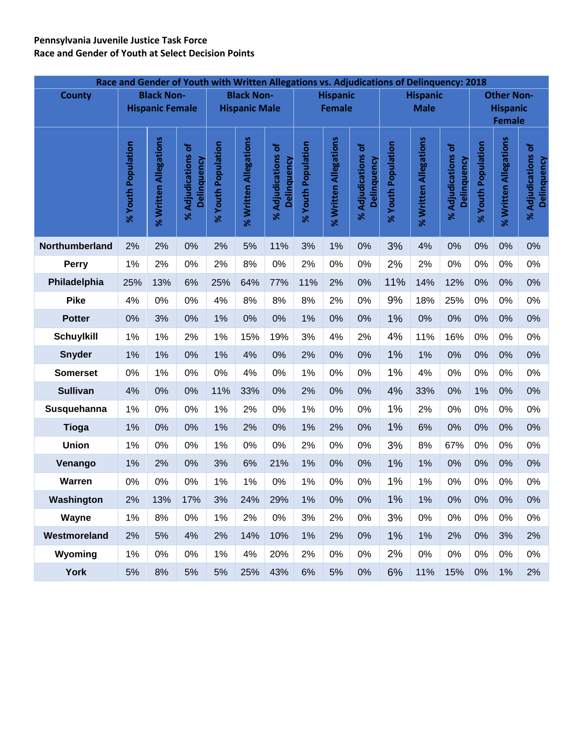#### **Pennsylvania Juvenile Justice Task Force Race and Gender of Youth at Select Decision Points**

| Race and Gender of Youth with Written Allegations vs. Adjudications of Delinquency: 2018 |                    |                        |                                                             |                       |                       |                                             |                    |                       |                                       |                    |                                |                                                             |                       |                       |                                     |
|------------------------------------------------------------------------------------------|--------------------|------------------------|-------------------------------------------------------------|-----------------------|-----------------------|---------------------------------------------|--------------------|-----------------------|---------------------------------------|--------------------|--------------------------------|-------------------------------------------------------------|-----------------------|-----------------------|-------------------------------------|
| <b>County</b>                                                                            |                    | <b>Black Non-</b>      |                                                             |                       | <b>Black Non-</b>     |                                             |                    | <b>Hispanic</b>       |                                       |                    | <b>Hispanic</b><br><b>Male</b> |                                                             |                       | <b>Other Non-</b>     |                                     |
|                                                                                          |                    | <b>Hispanic Female</b> |                                                             |                       | <b>Hispanic Male</b>  |                                             |                    | <b>Female</b>         |                                       |                    |                                | <b>Hispanic</b><br><b>Female</b>                            |                       |                       |                                     |
|                                                                                          |                    |                        |                                                             |                       |                       |                                             |                    |                       |                                       |                    |                                |                                                             |                       |                       |                                     |
|                                                                                          | % Youth Population | % Written Allegations  | Adjudications of<br>Delinquency<br>$\overline{\mathcal{S}}$ | Population<br>% Youth | % Written Allegations | Adjudications of<br>Delinquency<br>$\aleph$ | % Youth Population | % Written Allegations | Adjudications of<br>Delinquency<br>ৼ৾ | % Youth Population | % Written Allegations          | Adjudications of<br>Delinquency<br>$\overline{\mathcal{S}}$ | Population<br>% Youth | % Written Allegations | ৳<br>% Adjudications<br>Delinquency |
| Northumberland                                                                           | 2%                 | 2%                     | 0%                                                          | 2%                    | 5%                    | 11%                                         | 3%                 | 1%                    | 0%                                    | 3%                 | 4%                             | 0%                                                          | 0%                    | 0%                    | 0%                                  |
| <b>Perry</b>                                                                             | 1%                 | 2%                     | 0%                                                          | 2%                    | 8%                    | 0%                                          | 2%                 | 0%                    | 0%                                    | 2%                 | 2%                             | 0%                                                          | 0%                    | 0%                    | 0%                                  |
| Philadelphia                                                                             | 25%                | 13%                    | 6%                                                          | 25%                   | 64%                   | 77%                                         | 11%                | 2%                    | 0%                                    | 11%                | 14%                            | 12%                                                         | 0%                    | 0%                    | 0%                                  |
| <b>Pike</b>                                                                              | 4%                 | 0%                     | 0%                                                          | 4%                    | 8%                    | 8%                                          | 8%                 | 2%                    | 0%                                    | 9%                 | 18%                            | 25%                                                         | 0%                    | 0%                    | 0%                                  |
| <b>Potter</b>                                                                            | 0%                 | 3%                     | 0%                                                          | 1%                    | 0%                    | 0%                                          | 1%                 | 0%                    | 0%                                    | 1%                 | 0%                             | 0%                                                          | 0%                    | 0%                    | 0%                                  |
| <b>Schuylkill</b>                                                                        | 1%                 | 1%                     | 2%                                                          | 1%                    | 15%                   | 19%                                         | 3%                 | 4%                    | 2%                                    | 4%                 | 11%                            | 16%                                                         | 0%                    | 0%                    | 0%                                  |
| <b>Snyder</b>                                                                            | 1%                 | 1%                     | 0%                                                          | 1%                    | 4%                    | 0%                                          | 2%                 | 0%                    | 0%                                    | 1%                 | 1%                             | 0%                                                          | 0%                    | 0%                    | 0%                                  |
| <b>Somerset</b>                                                                          | 0%                 | 1%                     | 0%                                                          | 0%                    | 4%                    | 0%                                          | 1%                 | 0%                    | 0%                                    | 1%                 | 4%                             | 0%                                                          | 0%                    | 0%                    | 0%                                  |
| <b>Sullivan</b>                                                                          | 4%                 | 0%                     | 0%                                                          | 11%                   | 33%                   | 0%                                          | 2%                 | 0%                    | 0%                                    | 4%                 | 33%                            | 0%                                                          | 1%                    | 0%                    | 0%                                  |
| Susquehanna                                                                              | 1%                 | 0%                     | 0%                                                          | 1%                    | 2%                    | 0%                                          | 1%                 | 0%                    | 0%                                    | 1%                 | 2%                             | 0%                                                          | 0%                    | 0%                    | 0%                                  |
| <b>Tioga</b>                                                                             | 1%                 | 0%                     | 0%                                                          | 1%                    | 2%                    | 0%                                          | 1%                 | 2%                    | 0%                                    | 1%                 | 6%                             | 0%                                                          | 0%                    | 0%                    | 0%                                  |
| Union                                                                                    | 1%                 | 0%                     | 0%                                                          | 1%                    | 0%                    | 0%                                          | 2%                 | 0%                    | 0%                                    | 3%                 | 8%                             | 67%                                                         | 0%                    | 0%                    | 0%                                  |
| Venango                                                                                  | 1%                 | 2%                     | 0%                                                          | 3%                    | 6%                    | 21%                                         | 1%                 | 0%                    | 0%                                    | 1%                 | 1%                             | 0%                                                          | 0%                    | 0%                    | 0%                                  |
| Warren                                                                                   | 0%                 | 0%                     | 0%                                                          | 1%                    | 1%                    | 0%                                          | 1%                 | 0%                    | 0%                                    | 1%                 | 1%                             | 0%                                                          | 0%                    | 0%                    | 0%                                  |
| Washington                                                                               | 2%                 | 13%                    | 17%                                                         | 3%                    | 24%                   | 29%                                         | 1%                 | 0%                    | 0%                                    | 1%                 | 1%                             | 0%                                                          | 0%                    | 0%                    | 0%                                  |
| Wayne                                                                                    | 1%                 | 8%                     | 0%                                                          | 1%                    | 2%                    | $0\%$                                       | 3%                 | 2%                    | 0%                                    | 3%                 | 0%                             | 0%                                                          | $0\%$                 | 0%                    | $0\%$                               |
| Westmoreland                                                                             | 2%                 | 5%                     | 4%                                                          | 2%                    | 14%                   | 10%                                         | 1%                 | 2%                    | 0%                                    | 1%                 | 1%                             | 2%                                                          | 0%                    | 3%                    | 2%                                  |
| Wyoming                                                                                  | 1%                 | 0%                     | 0%                                                          | 1%                    | 4%                    | 20%                                         | 2%                 | 0%                    | 0%                                    | 2%                 | 0%                             | 0%                                                          | $0\%$                 | 0%                    | $0\%$                               |
| <b>York</b>                                                                              | 5%                 | 8%                     | 5%                                                          | 5%                    | 25%                   | 43%                                         | 6%                 | 5%                    | 0%                                    | 6%                 | 11%                            | 15%                                                         | 0%                    | 1%                    | 2%                                  |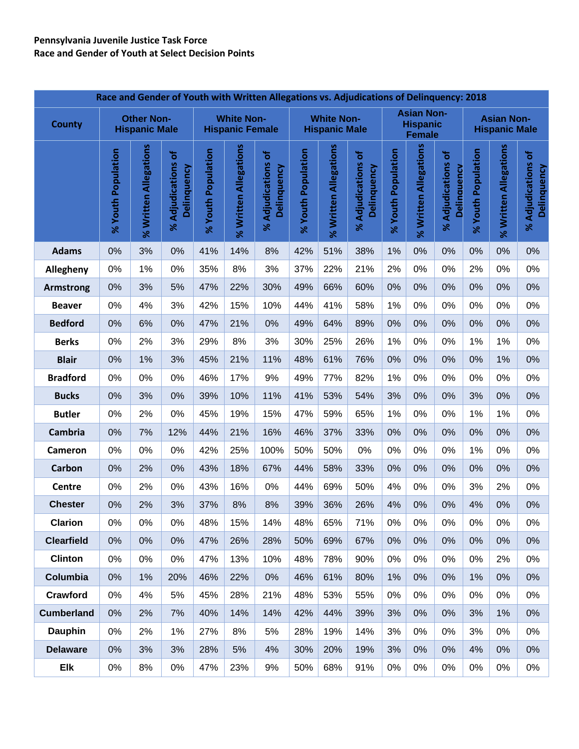|                   |                    |                                           |                                                                    |                    |                                             | Race and Gender of Youth with Written Allegations vs. Adjudications of Delinquency: 2018 |                    |                                           |                                               |                    |                                                       |                                                      |                                           |                       |                                                                      |
|-------------------|--------------------|-------------------------------------------|--------------------------------------------------------------------|--------------------|---------------------------------------------|------------------------------------------------------------------------------------------|--------------------|-------------------------------------------|-----------------------------------------------|--------------------|-------------------------------------------------------|------------------------------------------------------|-------------------------------------------|-----------------------|----------------------------------------------------------------------|
| <b>County</b>     |                    | <b>Other Non-</b><br><b>Hispanic Male</b> |                                                                    |                    | <b>White Non-</b><br><b>Hispanic Female</b> |                                                                                          |                    | <b>White Non-</b><br><b>Hispanic Male</b> |                                               |                    | <b>Asian Non-</b><br><b>Hispanic</b><br><b>Female</b> |                                                      | <b>Asian Non-</b><br><b>Hispanic Male</b> |                       |                                                                      |
|                   | % Youth Population | % Written Allegations                     | <b>Adjudications of</b><br>Delinquency<br>$\overline{\mathcal{S}}$ | % Youth Population | % Written Allegations                       | ৳<br><b>Adjudications</b><br>Delinquency<br>৯                                            | % Youth Population | % Written Allegations                     | ð<br><b>Adjudications</b><br>Delinquency<br>ৼ | % Youth Population | % Written Allegations                                 | ৳<br><b>Adjudications</b><br><b>Delinguency</b><br>৯ | % Youth Population                        | % Written Allegations | ৳<br><b>Adjudications</b><br>Delinquency<br>$\overline{\mathcal{S}}$ |
| <b>Adams</b>      | 0%                 | 3%                                        | 0%                                                                 | 41%                | 14%                                         | 8%                                                                                       | 42%                | 51%                                       | 38%                                           | 1%                 | 0%                                                    | 0%                                                   | 0%                                        | 0%                    | 0%                                                                   |
| Allegheny         | 0%                 | 1%                                        | 0%                                                                 | 35%                | 8%                                          | 3%                                                                                       | 37%                | 22%                                       | 21%                                           | 2%                 | 0%                                                    | 0%                                                   | 2%                                        | 0%                    | $0\%$                                                                |
| <b>Armstrong</b>  | 0%                 | 3%                                        | 5%                                                                 | 47%                | 22%                                         | 30%                                                                                      | 49%                | 66%                                       | 60%                                           | 0%                 | 0%                                                    | 0%                                                   | 0%                                        | 0%                    | 0%                                                                   |
| <b>Beaver</b>     | 0%                 | 4%                                        | 3%                                                                 | 42%                | 15%                                         | 10%                                                                                      | 44%                | 41%                                       | 58%                                           | 1%                 | 0%                                                    | 0%                                                   | 0%                                        | 0%                    | 0%                                                                   |
| <b>Bedford</b>    | 0%                 | 6%                                        | 0%                                                                 | 47%                | 21%                                         | 0%                                                                                       | 49%                | 64%                                       | 89%                                           | 0%                 | 0%                                                    | 0%                                                   | 0%                                        | 0%                    | 0%                                                                   |
| <b>Berks</b>      | 0%                 | 2%                                        | 3%                                                                 | 29%                | 8%                                          | 3%                                                                                       | 30%                | 25%                                       | 26%                                           | 1%                 | 0%                                                    | 0%                                                   | 1%                                        | 1%                    | 0%                                                                   |
| <b>Blair</b>      | 0%                 | 1%                                        | 3%                                                                 | 45%                | 21%                                         | 11%                                                                                      | 48%                | 61%                                       | 76%                                           | 0%                 | 0%                                                    | 0%                                                   | 0%                                        | 1%                    | 0%                                                                   |
| <b>Bradford</b>   | 0%                 | 0%                                        | 0%                                                                 | 46%                | 17%                                         | 9%                                                                                       | 49%                | 77%                                       | 82%                                           | 1%                 | 0%                                                    | 0%                                                   | 0%                                        | 0%                    | 0%                                                                   |
| <b>Bucks</b>      | 0%                 | 3%                                        | 0%                                                                 | 39%                | 10%                                         | 11%                                                                                      | 41%                | 53%                                       | 54%                                           | 3%                 | 0%                                                    | 0%                                                   | 3%                                        | 0%                    | 0%                                                                   |
| <b>Butler</b>     | 0%                 | 2%                                        | 0%                                                                 | 45%                | 19%                                         | 15%                                                                                      | 47%                | 59%                                       | 65%                                           | 1%                 | 0%                                                    | 0%                                                   | 1%                                        | 1%                    | 0%                                                                   |
| <b>Cambria</b>    | 0%                 | 7%                                        | 12%                                                                | 44%                | 21%                                         | 16%                                                                                      | 46%                | 37%                                       | 33%                                           | 0%                 | 0%                                                    | 0%                                                   | 0%                                        | 0%                    | 0%                                                                   |
| <b>Cameron</b>    | 0%                 | 0%                                        | 0%                                                                 | 42%                | 25%                                         | 100%                                                                                     | 50%                | 50%                                       | 0%                                            | $0\%$              | 0%                                                    | 0%                                                   | 1%                                        | 0%                    | 0%                                                                   |
| Carbon            | 0%                 | 2%                                        | 0%                                                                 | 43%                | 18%                                         | 67%                                                                                      | 44%                | 58%                                       | 33%                                           | 0%                 | 0%                                                    | 0%                                                   | 0%                                        | 0%                    | 0%                                                                   |
| Centre            | 0%                 | 2%                                        | 0%                                                                 | 43%                | 16%                                         | 0%                                                                                       | 44%                | 69%                                       | 50%                                           | 4%                 | 0%                                                    | 0%                                                   | 3%                                        | 2%                    | $0\%$                                                                |
| <b>Chester</b>    | 0%                 | 2%                                        | 3%                                                                 | 37%                | 8%                                          | 8%                                                                                       | 39%                | 36%                                       | 26%                                           | 4%                 | 0%                                                    | 0%                                                   | 4%                                        | 0%                    | 0%                                                                   |
| <b>Clarion</b>    | 0%                 | $0\%$                                     | 0%                                                                 | 48%                | 15%                                         | 14%                                                                                      | 48%                | 65%                                       | 71%                                           | $0\%$              | 0%                                                    | 0%                                                   | 0%                                        | 0%                    | 0%                                                                   |
| <b>Clearfield</b> | 0%                 | 0%                                        | 0%                                                                 | 47%                | 26%                                         | 28%                                                                                      | 50%                | 69%                                       | 67%                                           | 0%                 | 0%                                                    | 0%                                                   | 0%                                        | 0%                    | 0%                                                                   |
| <b>Clinton</b>    | 0%                 | 0%                                        | 0%                                                                 | 47%                | 13%                                         | 10%                                                                                      | 48%                | 78%                                       | 90%                                           | 0%                 | 0%                                                    | 0%                                                   | 0%                                        | 2%                    | 0%                                                                   |
| Columbia          | 0%                 | 1%                                        | 20%                                                                | 46%                | 22%                                         | 0%                                                                                       | 46%                | 61%                                       | 80%                                           | 1%                 | 0%                                                    | 0%                                                   | 1%                                        | 0%                    | 0%                                                                   |
| Crawford          | 0%                 | 4%                                        | 5%                                                                 | 45%                | 28%                                         | 21%                                                                                      | 48%                | 53%                                       | 55%                                           | $0\%$              | 0%                                                    | 0%                                                   | 0%                                        | 0%                    | $0\%$                                                                |
| <b>Cumberland</b> | 0%                 | 2%                                        | 7%                                                                 | 40%                | 14%                                         | 14%                                                                                      | 42%                | 44%                                       | 39%                                           | 3%                 | 0%                                                    | 0%                                                   | 3%                                        | 1%                    | 0%                                                                   |
| <b>Dauphin</b>    | 0%                 | 2%                                        | 1%                                                                 | 27%                | 8%                                          | 5%                                                                                       | 28%                | 19%                                       | 14%                                           | 3%                 | 0%                                                    | 0%                                                   | 3%                                        | 0%                    | 0%                                                                   |
| <b>Delaware</b>   | 0%                 | 3%                                        | 3%                                                                 | 28%                | 5%                                          | 4%                                                                                       | 30%                | 20%                                       | 19%                                           | 3%                 | 0%                                                    | 0%                                                   | 4%                                        | 0%                    | 0%                                                                   |
| Elk               | 0%                 | 8%                                        | $0\%$                                                              | 47%                | 23%                                         | 9%                                                                                       | 50%                | 68%                                       | 91%                                           | $0\%$              | 0%                                                    | 0%                                                   | 0%                                        | 0%                    | 0%                                                                   |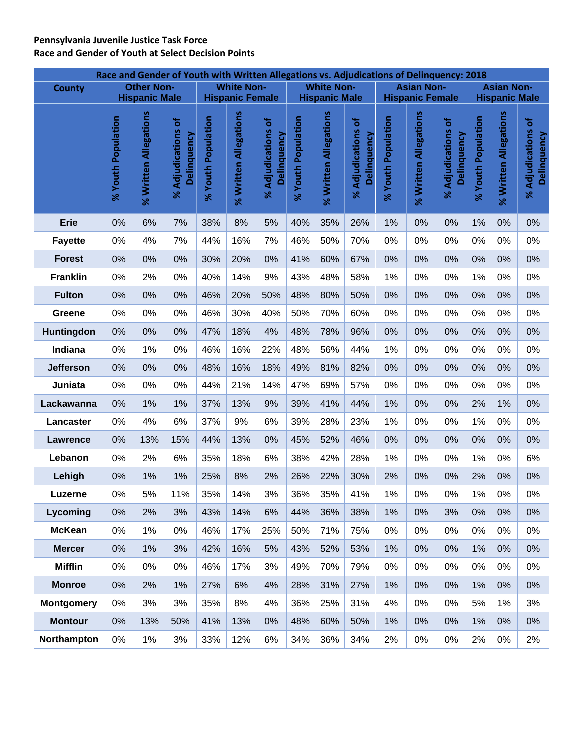### **Pennsylvania Juvenile Justice Task Force Race and Gender of Youth at Select Decision Points**

|                   | Race and Gender of Youth with Written Allegations vs. Adjudications of Delinquency: 2018<br><b>White Non-</b><br><b>Other Non-</b><br><b>White Non-</b><br><b>Asian Non-</b> |                       |                                     |                    |                        |                                   |                    |                       |                                      |                    |                        |                                   |                                           |                       |                                   |  |
|-------------------|------------------------------------------------------------------------------------------------------------------------------------------------------------------------------|-----------------------|-------------------------------------|--------------------|------------------------|-----------------------------------|--------------------|-----------------------|--------------------------------------|--------------------|------------------------|-----------------------------------|-------------------------------------------|-----------------------|-----------------------------------|--|
| <b>County</b>     |                                                                                                                                                                              | <b>Hispanic Male</b>  |                                     |                    | <b>Hispanic Female</b> |                                   |                    | <b>Hispanic Male</b>  |                                      |                    | <b>Hispanic Female</b> |                                   | <b>Asian Non-</b><br><b>Hispanic Male</b> |                       |                                   |  |
|                   |                                                                                                                                                                              |                       |                                     |                    |                        |                                   |                    |                       |                                      |                    |                        |                                   |                                           |                       |                                   |  |
|                   | % Youth Population                                                                                                                                                           | % Written Allegations | Ⴆ<br>% Adjudications<br>Delinquency | % Youth Population | % Written Allegations  | % Adjudications of<br>Delinquency | % Youth Population | % Written Allegations | ٔة<br>% Adjudications<br>Delinquency | % Youth Population | % Written Allegations  | % Adjudications of<br>Delinquency | % Youth Population                        | % Written Allegations | % Adjudications of<br>Delinquency |  |
| <b>Erie</b>       | 0%                                                                                                                                                                           | 6%                    | 7%                                  | 38%                | 8%                     | 5%                                | 40%                | 35%                   | 26%                                  | 1%                 | 0%                     | 0%                                | 1%                                        | 0%                    | 0%                                |  |
| <b>Fayette</b>    | 0%                                                                                                                                                                           | 4%                    | 7%                                  | 44%                | 16%                    | 7%                                | 46%                | 50%                   | 70%                                  | 0%                 | 0%                     | 0%                                | 0%                                        | 0%                    | 0%                                |  |
| <b>Forest</b>     | 0%                                                                                                                                                                           | 0%                    | 0%                                  | 30%                | 20%                    | 0%                                | 41%                | 60%                   | 67%                                  | 0%                 | 0%                     | 0%                                | 0%                                        | 0%                    | 0%                                |  |
| <b>Franklin</b>   | 0%                                                                                                                                                                           | 2%                    | 0%                                  | 40%                | 14%                    | 9%                                | 43%                | 48%                   | 58%                                  | 1%                 | 0%                     | 0%                                | 1%                                        | 0%                    | 0%                                |  |
| <b>Fulton</b>     | 0%                                                                                                                                                                           | 0%                    | 0%                                  | 46%                | 20%                    | 50%                               | 48%                | 80%                   | 50%                                  | 0%                 | 0%                     | 0%                                | 0%                                        | 0%                    | 0%                                |  |
| Greene            | 0%                                                                                                                                                                           | 0%                    | 0%                                  | 46%                | 30%                    | 40%                               | 50%                | 70%                   | 60%                                  | 0%                 | 0%                     | 0%                                | 0%                                        | 0%                    | 0%                                |  |
| Huntingdon        | 0%                                                                                                                                                                           | 0%                    | 0%                                  | 47%                | 18%                    | 4%                                | 48%                | 78%                   | 96%                                  | 0%                 | 0%                     | 0%                                | 0%                                        | 0%                    | 0%                                |  |
| Indiana           | 0%                                                                                                                                                                           | 1%                    | 0%                                  | 46%                | 16%                    | 22%                               | 48%                | 56%                   | 44%                                  | 1%                 | 0%                     | 0%                                | 0%                                        | 0%                    | 0%                                |  |
| <b>Jefferson</b>  | 0%                                                                                                                                                                           | 0%                    | 0%                                  | 48%                | 16%                    | 18%                               | 49%                | 81%                   | 82%                                  | 0%                 | 0%                     | 0%                                | 0%                                        | 0%                    | 0%                                |  |
| Juniata           | 0%                                                                                                                                                                           | 0%                    | 0%                                  | 44%                | 21%                    | 14%                               | 47%                | 69%                   | 57%                                  | 0%                 | 0%                     | 0%                                | 0%                                        | 0%                    | 0%                                |  |
| Lackawanna        | 0%                                                                                                                                                                           | 1%                    | 1%                                  | 37%                | 13%                    | 9%                                | 39%                | 41%                   | 44%                                  | 1%                 | 0%                     | 0%                                | 2%                                        | 1%                    | 0%                                |  |
| Lancaster         | 0%                                                                                                                                                                           | 4%                    | 6%                                  | 37%                | 9%                     | 6%                                | 39%                | 28%                   | 23%                                  | 1%                 | 0%                     | 0%                                | 1%                                        | 0%                    | 0%                                |  |
| Lawrence          | 0%                                                                                                                                                                           | 13%                   | 15%                                 | 44%                | 13%                    | 0%                                | 45%                | 52%                   | 46%                                  | 0%                 | 0%                     | 0%                                | 0%                                        | 0%                    | 0%                                |  |
| Lebanon           | 0%                                                                                                                                                                           | 2%                    | 6%                                  | 35%                | 18%                    | 6%                                | 38%                | 42%                   | 28%                                  | 1%                 | 0%                     | 0%                                | 1%                                        | 0%                    | 6%                                |  |
| Lehigh            | 0%                                                                                                                                                                           | 1%                    | 1%                                  | 25%                | 8%                     | 2%                                | 26%                | 22%                   | 30%                                  | 2%                 | 0%                     | 0%                                | 2%                                        | 0%                    | 0%                                |  |
| Luzerne           | 0%                                                                                                                                                                           | 5%                    | 11%                                 | 35%                | 14%                    | 3%                                | 36%                | 35%                   | 41%                                  | 1%                 | 0%                     | 0%                                | 1%                                        | 0%                    | 0%                                |  |
| Lycoming          | 0%                                                                                                                                                                           | 2%                    | 3%                                  | 43%                | 14%                    | 6%                                | 44%                | 36%                   | 38%                                  | 1%                 | 0%                     | 3%                                | 0%                                        | 0%                    | 0%                                |  |
| <b>McKean</b>     | 0%                                                                                                                                                                           | 1%                    | 0%                                  | 46%                | 17%                    | 25%                               | 50%                | 71%                   | 75%                                  | 0%                 | 0%                     | 0%                                | 0%                                        | 0%                    | $0\%$                             |  |
| <b>Mercer</b>     | 0%                                                                                                                                                                           | 1%                    | 3%                                  | 42%                | 16%                    | 5%                                | 43%                | 52%                   | 53%                                  | 1%                 | 0%                     | 0%                                | 1%                                        | 0%                    | 0%                                |  |
| <b>Mifflin</b>    | $0\%$                                                                                                                                                                        | 0%                    | 0%                                  | 46%                | 17%                    | 3%                                | 49%                | 70%                   | 79%                                  | 0%                 | 0%                     | 0%                                | 0%                                        | 0%                    | $0\%$                             |  |
| <b>Monroe</b>     | 0%                                                                                                                                                                           | 2%                    | 1%                                  | 27%                | 6%                     | 4%                                | 28%                | 31%                   | 27%                                  | 1%                 | 0%                     | 0%                                | 1%                                        | 0%                    | $0\%$                             |  |
| <b>Montgomery</b> | 0%                                                                                                                                                                           | 3%                    | 3%                                  | 35%                | 8%                     | 4%                                | 36%                | 25%                   | 31%                                  | 4%                 | 0%                     | 0%                                | 5%                                        | 1%                    | 3%                                |  |
| <b>Montour</b>    | 0%                                                                                                                                                                           | 13%                   | 50%                                 | 41%                | 13%                    | 0%                                | 48%                | 60%                   | 50%                                  | 1%                 | 0%                     | 0%                                | 1%                                        | 0%                    | $0\%$                             |  |
| Northampton       | $0\%$                                                                                                                                                                        | 1%                    | 3%                                  | 33%                | 12%                    | 6%                                | 34%                | 36%                   | 34%                                  | 2%                 | $0\%$                  | 0%                                | 2%                                        | 0%                    | 2%                                |  |